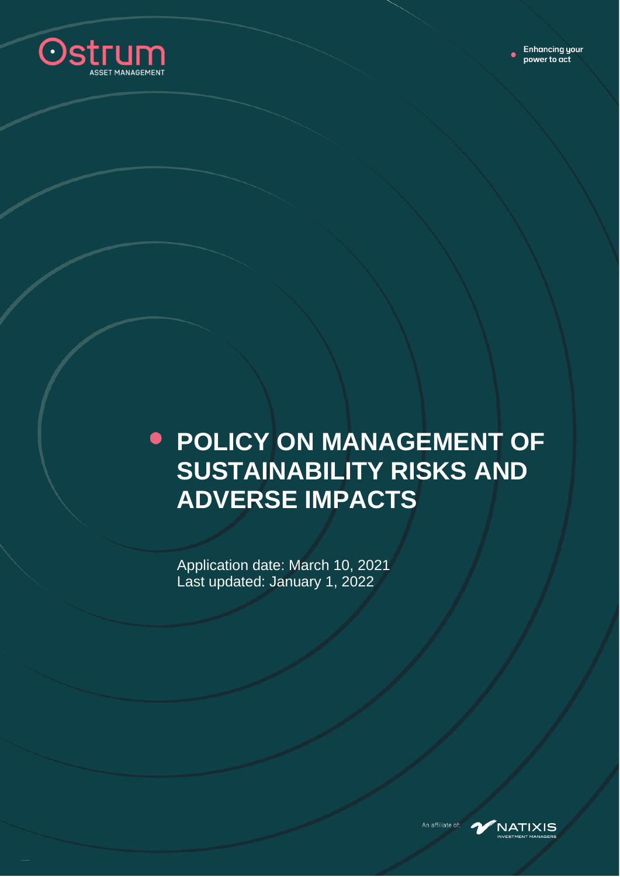

# **POLICY ON MANAGEMENT OF SUSTAINABILITY RISKS AND ADVERSE IMPACTS**

Application date: March 10, 2021 Last updated: January 1, 2022



An affiliate of: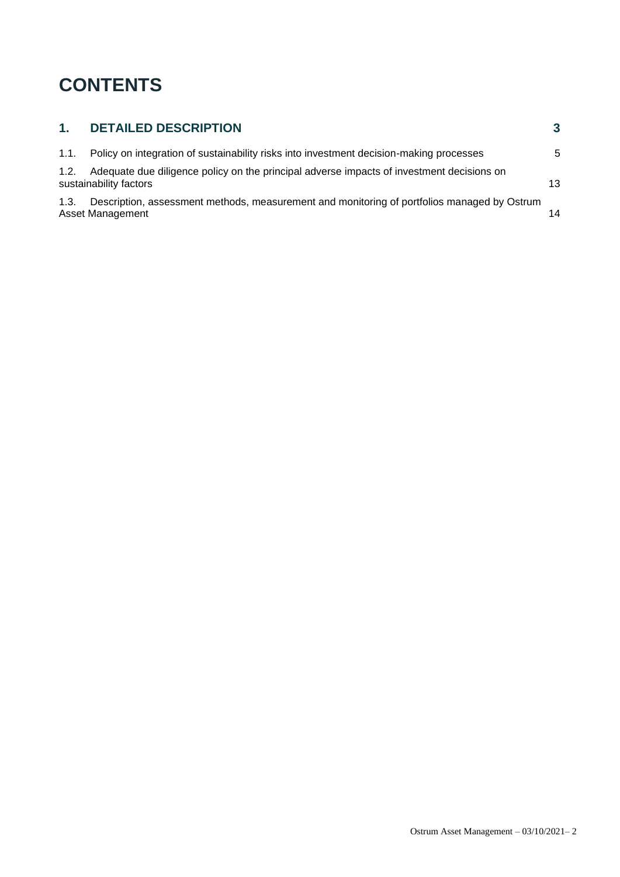### **CONTENTS**

| 1.   | <b>DETAILED DESCRIPTION</b>                                                                                         | 3                |
|------|---------------------------------------------------------------------------------------------------------------------|------------------|
| 1.1. | Policy on integration of sustainability risks into investment decision-making processes                             | 5                |
| 1.2. | Adequate due diligence policy on the principal adverse impacts of investment decisions on<br>sustainability factors | 13 <sup>13</sup> |
| 1.3. | Description, assessment methods, measurement and monitoring of portfolios managed by Ostrum<br>Asset Management     | 14               |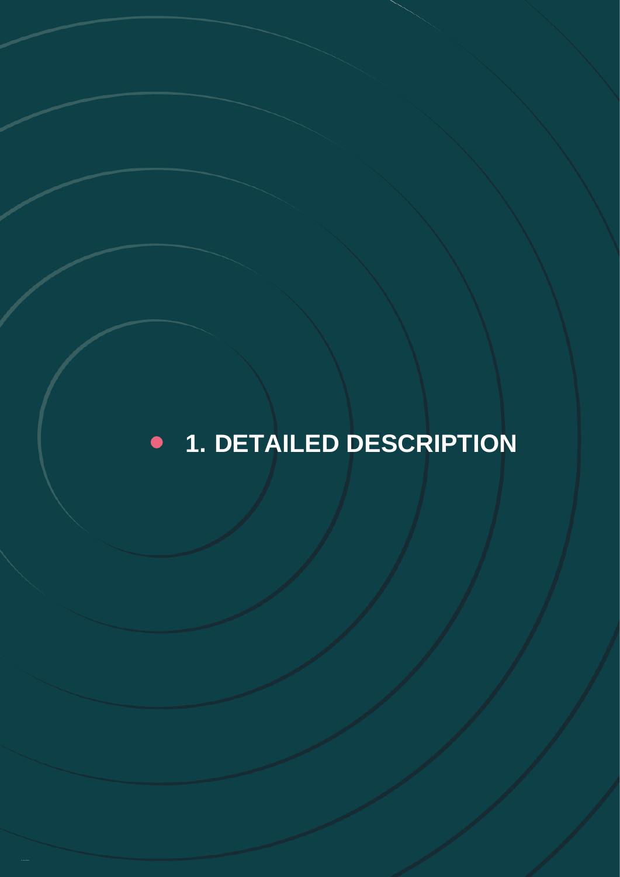### <span id="page-2-0"></span>**1. DETAILED DESCRIPTION**  $\bullet$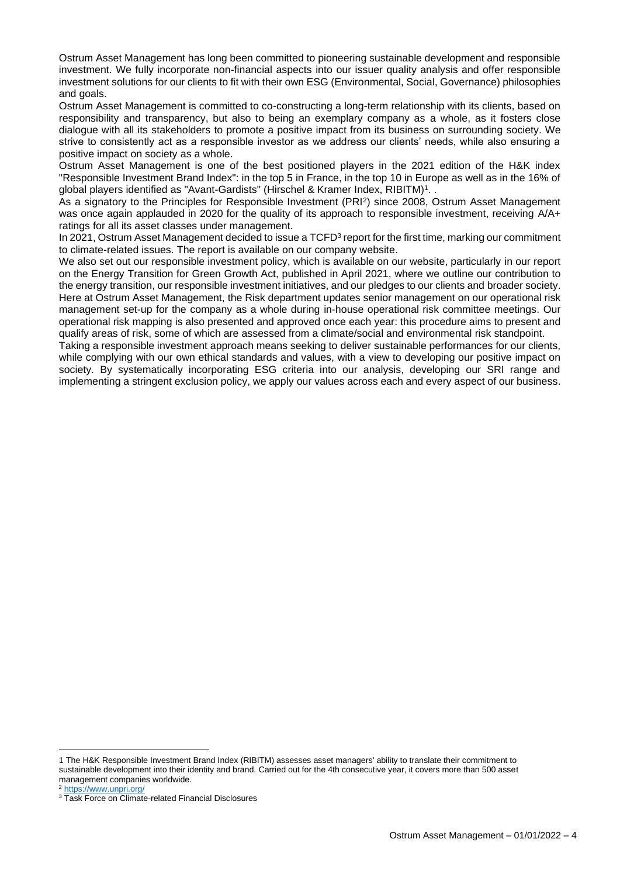Ostrum Asset Management has long been committed to pioneering sustainable development and responsible investment. We fully incorporate non-financial aspects into our issuer quality analysis and offer responsible investment solutions for our clients to fit with their own ESG (Environmental, Social, Governance) philosophies and goals.

Ostrum Asset Management is committed to co-constructing a long-term relationship with its clients, based on responsibility and transparency, but also to being an exemplary company as a whole, as it fosters close dialogue with all its stakeholders to promote a positive impact from its business on surrounding society. We strive to consistently act as a responsible investor as we address our clients' needs, while also ensuring a positive impact on society as a whole.

Ostrum Asset Management is one of the best positioned players in the 2021 edition of the H&K index "Responsible Investment Brand Index": in the top 5 in France, in the top 10 in Europe as well as in the 16% of global players identified as "Avant-Gardists" (Hirschel & Kramer Index, RIBITM)<sup>1</sup>..

As a signatory to the Principles for Responsible Investment (PRI<sup>2</sup>) since 2008, Ostrum Asset Management was once again applauded in 2020 for the quality of its approach to responsible investment, receiving A/A+ ratings for all its asset classes under management.

In 2021, Ostrum Asset Management decided to issue a TCFD<sup>3</sup> report for the first time, marking our commitment to climate-related issues. The report is available on our company website.

We also set out our responsible investment policy, which is available on our website, particularly in our report on the Energy Transition for Green Growth Act, published in April 2021, where we outline our contribution to the energy transition, our responsible investment initiatives, and our pledges to our clients and broader society. Here at Ostrum Asset Management, the Risk department updates senior management on our operational risk management set-up for the company as a whole during in-house operational risk committee meetings. Our operational risk mapping is also presented and approved once each year: this procedure aims to present and qualify areas of risk, some of which are assessed from a climate/social and environmental risk standpoint.

Taking a responsible investment approach means seeking to deliver sustainable performances for our clients, while complying with our own ethical standards and values, with a view to developing our positive impact on society. By systematically incorporating ESG criteria into our analysis, developing our SRI range and implementing a stringent exclusion policy, we apply our values across each and every aspect of our business.

<sup>1</sup> The H&K Responsible Investment Brand Index (RIBITM) assesses asset managers' ability to translate their commitment to sustainable development into their identity and brand. Carried out for the 4th consecutive year, it covers more than 500 asset management companies worldwide.

<https://www.unpri.org/>

<sup>&</sup>lt;sup>3</sup> Task Force on Climate-related Financial Disclosures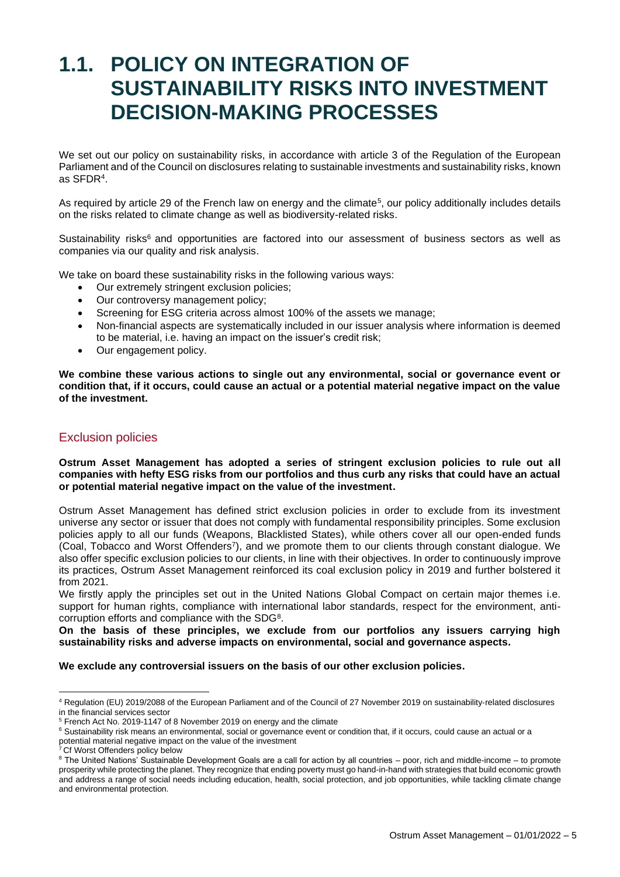## <span id="page-4-0"></span>**1.1. POLICY ON INTEGRATION OF SUSTAINABILITY RISKS INTO INVESTMENT DECISION-MAKING PROCESSES**

We set out our policy on sustainability risks, in accordance with article 3 of the Regulation of the European Parliament and of the Council on disclosures relating to sustainable investments and sustainability risks, known as SFDR<sup>4</sup> .

As required by article 29 of the French law on energy and the climate<sup>5</sup>, our policy additionally includes details on the risks related to climate change as well as biodiversity-related risks.

Sustainability risks<sup>6</sup> and opportunities are factored into our assessment of business sectors as well as companies via our quality and risk analysis.

We take on board these sustainability risks in the following various ways:

- Our extremely stringent exclusion policies;
- Our controversy management policy;
- Screening for ESG criteria across almost 100% of the assets we manage;
- Non-financial aspects are systematically included in our issuer analysis where information is deemed to be material, i.e. having an impact on the issuer's credit risk;
- Our engagement policy.

**We combine these various actions to single out any environmental, social or governance event or condition that, if it occurs, could cause an actual or a potential material negative impact on the value of the investment.**

#### Exclusion policies

**Ostrum Asset Management has adopted a series of stringent exclusion policies to rule out all companies with hefty ESG risks from our portfolios and thus curb any risks that could have an actual or potential material negative impact on the value of the investment.** 

Ostrum Asset Management has defined strict exclusion policies in order to exclude from its investment universe any sector or issuer that does not comply with fundamental responsibility principles. Some exclusion policies apply to all our funds (Weapons, Blacklisted States), while others cover all our open-ended funds (Coal, Tobacco and Worst Offenders<sup>7</sup> ), and we promote them to our clients through constant dialogue. We also offer specific exclusion policies to our clients, in line with their objectives. In order to continuously improve its practices, Ostrum Asset Management reinforced its coal exclusion policy in 2019 and further bolstered it from 2021.

We firstly apply the principles set out in the United Nations Global Compact on certain major themes i.e. support for human rights, compliance with international labor standards, respect for the environment, anticorruption efforts and compliance with the SDG<sup>8</sup>.

**On the basis of these principles, we exclude from our portfolios any issuers carrying high sustainability risks and adverse impacts on environmental, social and governance aspects.** 

**We exclude any controversial issuers on the basis of our other exclusion policies.**

<sup>4</sup> Regulation (EU) 2019/2088 of the European Parliament and of the Council of 27 November 2019 on sustainability-related disclosures in the financial services sector

<sup>5</sup> French Act No. 2019-1147 of 8 November 2019 on energy and the climate

<sup>&</sup>lt;sup>6</sup> Sustainability risk means an environmental, social or governance event or condition that, if it occurs, could cause an actual or a potential material negative impact on the value of the investment

<sup>&</sup>lt;sup>7</sup> Cf Worst Offenders policy below

<sup>8</sup> The United Nations' Sustainable Development Goals are a call for action by all countries – poor, rich and middle-income – to promote prosperity while protecting the planet. They recognize that ending poverty must go hand-in-hand with strategies that build economic growth and address a range of social needs including education, health, social protection, and job opportunities, while tackling climate change and environmental protection.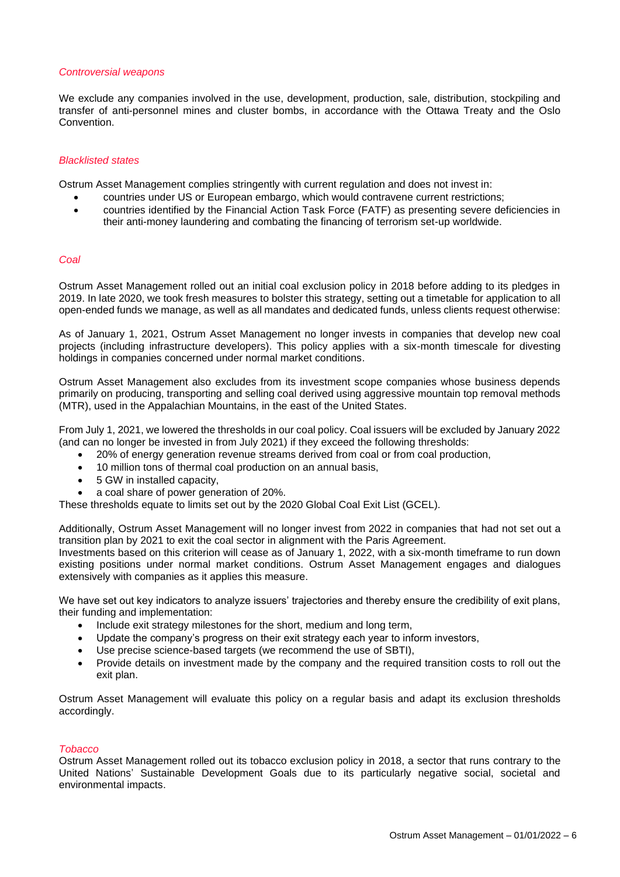#### *Controversial weapons*

We exclude any companies involved in the use, development, production, sale, distribution, stockpiling and transfer of anti-personnel mines and cluster bombs, in accordance with the Ottawa Treaty and the Oslo Convention.

#### *Blacklisted states*

Ostrum Asset Management complies stringently with current regulation and does not invest in:

- countries under US or European embargo, which would contravene current restrictions;
- countries identified by the Financial Action Task Force (FATF) as presenting severe deficiencies in their anti-money laundering and combating the financing of terrorism set-up worldwide.

#### *Coal*

Ostrum Asset Management rolled out an initial coal exclusion policy in 2018 before adding to its pledges in 2019. In late 2020, we took fresh measures to bolster this strategy, setting out a timetable for application to all open-ended funds we manage, as well as all mandates and dedicated funds, unless clients request otherwise:

As of January 1, 2021, Ostrum Asset Management no longer invests in companies that develop new coal projects (including infrastructure developers). This policy applies with a six-month timescale for divesting holdings in companies concerned under normal market conditions.

Ostrum Asset Management also excludes from its investment scope companies whose business depends primarily on producing, transporting and selling coal derived using aggressive mountain top removal methods (MTR), used in the Appalachian Mountains, in the east of the United States.

From July 1, 2021, we lowered the thresholds in our coal policy. Coal issuers will be excluded by January 2022 (and can no longer be invested in from July 2021) if they exceed the following thresholds:

- 20% of energy generation revenue streams derived from coal or from coal production,
- 10 million tons of thermal coal production on an annual basis,
- 5 GW in installed capacity,
- a coal share of power generation of 20%.

These thresholds equate to limits set out by the 2020 Global Coal Exit List (GCEL).

Additionally, Ostrum Asset Management will no longer invest from 2022 in companies that had not set out a transition plan by 2021 to exit the coal sector in alignment with the Paris Agreement.

Investments based on this criterion will cease as of January 1, 2022, with a six-month timeframe to run down existing positions under normal market conditions. Ostrum Asset Management engages and dialogues extensively with companies as it applies this measure.

We have set out key indicators to analyze issuers' trajectories and thereby ensure the credibility of exit plans, their funding and implementation:

- Include exit strategy milestones for the short, medium and long term,
- Update the company's progress on their exit strategy each year to inform investors,
- Use precise science-based targets (we recommend the use of SBTI),
- Provide details on investment made by the company and the required transition costs to roll out the exit plan.

Ostrum Asset Management will evaluate this policy on a regular basis and adapt its exclusion thresholds accordingly.

#### *Tobacco*

Ostrum Asset Management rolled out its tobacco exclusion policy in 2018, a sector that runs contrary to the United Nations' Sustainable Development Goals due to its particularly negative social, societal and environmental impacts.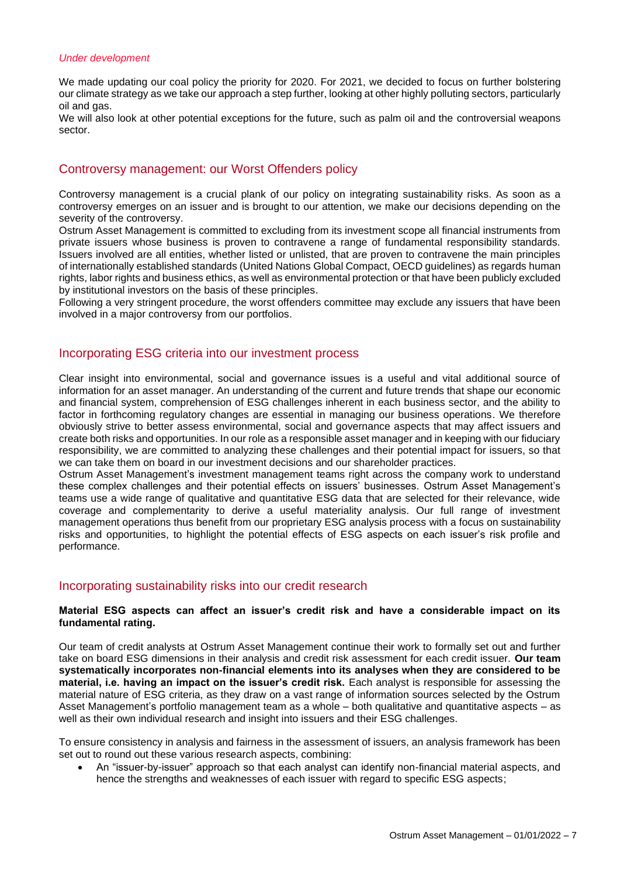#### *Under development*

We made updating our coal policy the priority for 2020. For 2021, we decided to focus on further bolstering our climate strategy as we take our approach a step further, looking at other highly polluting sectors, particularly oil and gas.

We will also look at other potential exceptions for the future, such as palm oil and the controversial weapons sector.

#### Controversy management: our Worst Offenders policy

Controversy management is a crucial plank of our policy on integrating sustainability risks. As soon as a controversy emerges on an issuer and is brought to our attention, we make our decisions depending on the severity of the controversy.

Ostrum Asset Management is committed to excluding from its investment scope all financial instruments from private issuers whose business is proven to contravene a range of fundamental responsibility standards. Issuers involved are all entities, whether listed or unlisted, that are proven to contravene the main principles of internationally established standards (United Nations Global Compact, OECD guidelines) as regards human rights, labor rights and business ethics, as well as environmental protection or that have been publicly excluded by institutional investors on the basis of these principles.

Following a very stringent procedure, the worst offenders committee may exclude any issuers that have been involved in a major controversy from our portfolios.

#### Incorporating ESG criteria into our investment process

Clear insight into environmental, social and governance issues is a useful and vital additional source of information for an asset manager. An understanding of the current and future trends that shape our economic and financial system, comprehension of ESG challenges inherent in each business sector, and the ability to factor in forthcoming regulatory changes are essential in managing our business operations. We therefore obviously strive to better assess environmental, social and governance aspects that may affect issuers and create both risks and opportunities. In our role as a responsible asset manager and in keeping with our fiduciary responsibility, we are committed to analyzing these challenges and their potential impact for issuers, so that we can take them on board in our investment decisions and our shareholder practices.

Ostrum Asset Management's investment management teams right across the company work to understand these complex challenges and their potential effects on issuers' businesses. Ostrum Asset Management's teams use a wide range of qualitative and quantitative ESG data that are selected for their relevance, wide coverage and complementarity to derive a useful materiality analysis. Our full range of investment management operations thus benefit from our proprietary ESG analysis process with a focus on sustainability risks and opportunities, to highlight the potential effects of ESG aspects on each issuer's risk profile and performance.

#### Incorporating sustainability risks into our credit research

#### **Material ESG aspects can affect an issuer's credit risk and have a considerable impact on its fundamental rating.**

Our team of credit analysts at Ostrum Asset Management continue their work to formally set out and further take on board ESG dimensions in their analysis and credit risk assessment for each credit issuer. **Our team systematically incorporates non-financial elements into its analyses when they are considered to be material, i.e. having an impact on the issuer's credit risk.** Each analyst is responsible for assessing the material nature of ESG criteria, as they draw on a vast range of information sources selected by the Ostrum Asset Management's portfolio management team as a whole – both qualitative and quantitative aspects – as well as their own individual research and insight into issuers and their ESG challenges.

To ensure consistency in analysis and fairness in the assessment of issuers, an analysis framework has been set out to round out these various research aspects, combining:

• An "issuer-by-issuer" approach so that each analyst can identify non-financial material aspects, and hence the strengths and weaknesses of each issuer with regard to specific ESG aspects;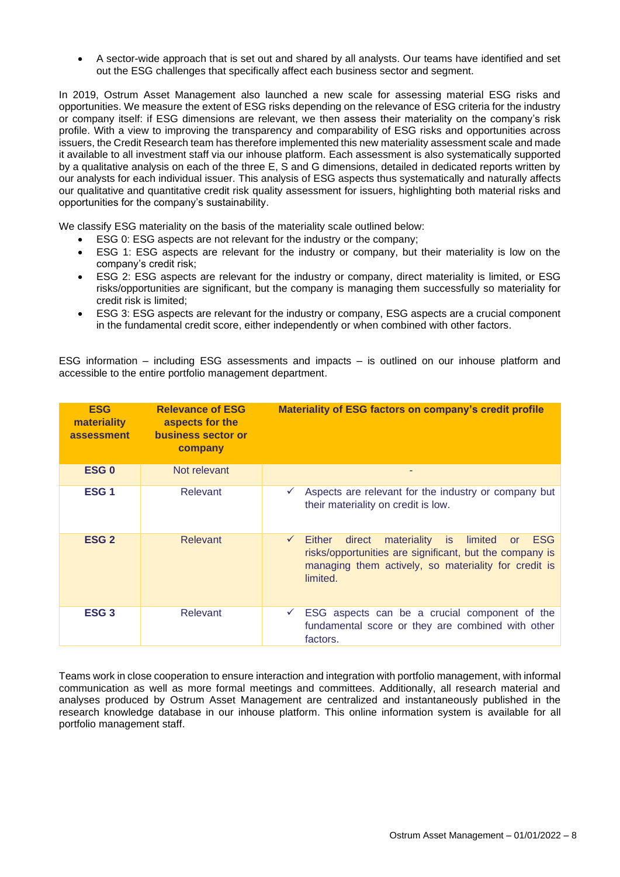• A sector-wide approach that is set out and shared by all analysts. Our teams have identified and set out the ESG challenges that specifically affect each business sector and segment.

In 2019, Ostrum Asset Management also launched a new scale for assessing material ESG risks and opportunities. We measure the extent of ESG risks depending on the relevance of ESG criteria for the industry or company itself: if ESG dimensions are relevant, we then assess their materiality on the company's risk profile. With a view to improving the transparency and comparability of ESG risks and opportunities across issuers, the Credit Research team has therefore implemented this new materiality assessment scale and made it available to all investment staff via our inhouse platform. Each assessment is also systematically supported by a qualitative analysis on each of the three E, S and G dimensions, detailed in dedicated reports written by our analysts for each individual issuer. This analysis of ESG aspects thus systematically and naturally affects our qualitative and quantitative credit risk quality assessment for issuers, highlighting both material risks and opportunities for the company's sustainability.

We classify ESG materiality on the basis of the materiality scale outlined below:

- ESG 0: ESG aspects are not relevant for the industry or the company;
- ESG 1: ESG aspects are relevant for the industry or company, but their materiality is low on the company's credit risk;
- ESG 2: ESG aspects are relevant for the industry or company, direct materiality is limited, or ESG risks/opportunities are significant, but the company is managing them successfully so materiality for credit risk is limited;
- ESG 3: ESG aspects are relevant for the industry or company, ESG aspects are a crucial component in the fundamental credit score, either independently or when combined with other factors.

ESG information – including ESG assessments and impacts – is outlined on our inhouse platform and accessible to the entire portfolio management department.

| <b>ESG</b><br>materiality<br>assessment | <b>Relevance of ESG</b><br>aspects for the<br>business sector or<br>company | Materiality of ESG factors on company's credit profile                                                                                                                                                                      |
|-----------------------------------------|-----------------------------------------------------------------------------|-----------------------------------------------------------------------------------------------------------------------------------------------------------------------------------------------------------------------------|
| ESG <sub>0</sub>                        | Not relevant                                                                |                                                                                                                                                                                                                             |
| ESG <sub>1</sub>                        | Relevant                                                                    | Aspects are relevant for the industry or company but<br>v.<br>their materiality on credit is low.                                                                                                                           |
| ESG <sub>2</sub>                        | <b>Relevant</b>                                                             | <b>ESG</b><br>direct<br>materiality<br>limited<br>Either<br>$\checkmark$<br>is.<br><b>or</b><br>risks/opportunities are significant, but the company is<br>managing them actively, so materiality for credit is<br>limited. |
| ESG <sub>3</sub>                        | Relevant                                                                    | ESG aspects can be a crucial component of the<br>✓<br>fundamental score or they are combined with other<br>factors.                                                                                                         |

Teams work in close cooperation to ensure interaction and integration with portfolio management, with informal communication as well as more formal meetings and committees. Additionally, all research material and analyses produced by Ostrum Asset Management are centralized and instantaneously published in the research knowledge database in our inhouse platform. This online information system is available for all portfolio management staff.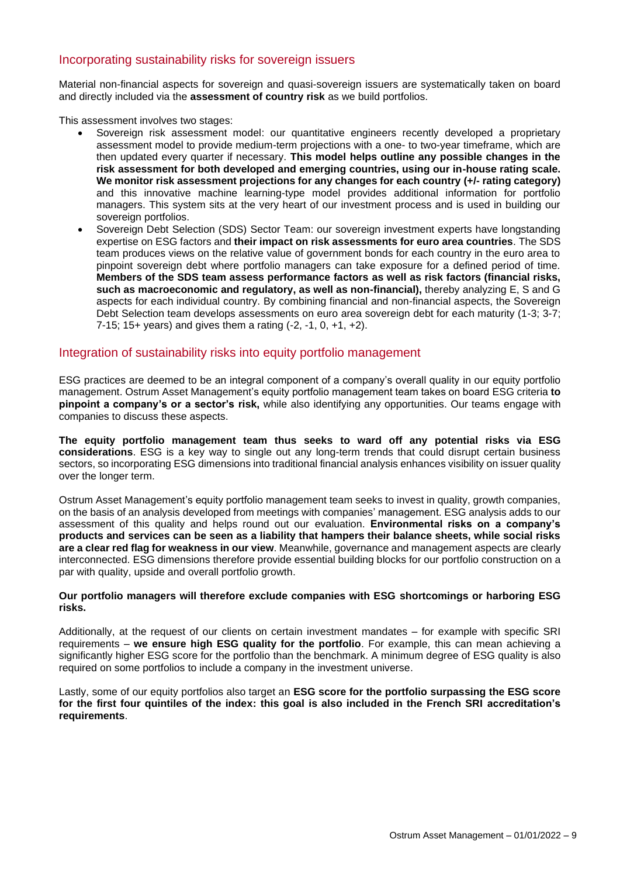#### Incorporating sustainability risks for sovereign issuers

Material non-financial aspects for sovereign and quasi-sovereign issuers are systematically taken on board and directly included via the **assessment of country risk** as we build portfolios.

This assessment involves two stages:

- Sovereign risk assessment model: our quantitative engineers recently developed a proprietary assessment model to provide medium-term projections with a one- to two-year timeframe, which are then updated every quarter if necessary. **This model helps outline any possible changes in the risk assessment for both developed and emerging countries, using our in-house rating scale. We monitor risk assessment projections for any changes for each country (+/- rating category)** and this innovative machine learning-type model provides additional information for portfolio managers. This system sits at the very heart of our investment process and is used in building our sovereign portfolios.
- Sovereign Debt Selection (SDS) Sector Team: our sovereign investment experts have longstanding expertise on ESG factors and **their impact on risk assessments for euro area countries**. The SDS team produces views on the relative value of government bonds for each country in the euro area to pinpoint sovereign debt where portfolio managers can take exposure for a defined period of time. **Members of the SDS team assess performance factors as well as risk factors (financial risks, such as macroeconomic and regulatory, as well as non-financial),** thereby analyzing E, S and G aspects for each individual country. By combining financial and non-financial aspects, the Sovereign Debt Selection team develops assessments on euro area sovereign debt for each maturity (1-3; 3-7; 7-15; 15+ years) and gives them a rating (-2, -1, 0, +1, +2).

#### Integration of sustainability risks into equity portfolio management

ESG practices are deemed to be an integral component of a company's overall quality in our equity portfolio management. Ostrum Asset Management's equity portfolio management team takes on board ESG criteria **to pinpoint a company's or a sector's risk,** while also identifying any opportunities. Our teams engage with companies to discuss these aspects.

**The equity portfolio management team thus seeks to ward off any potential risks via ESG considerations**. ESG is a key way to single out any long-term trends that could disrupt certain business sectors, so incorporating ESG dimensions into traditional financial analysis enhances visibility on issuer quality over the longer term.

Ostrum Asset Management's equity portfolio management team seeks to invest in quality, growth companies, on the basis of an analysis developed from meetings with companies' management. ESG analysis adds to our assessment of this quality and helps round out our evaluation. **Environmental risks on a company's products and services can be seen as a liability that hampers their balance sheets, while social risks are a clear red flag for weakness in our view**. Meanwhile, governance and management aspects are clearly interconnected. ESG dimensions therefore provide essential building blocks for our portfolio construction on a par with quality, upside and overall portfolio growth.

#### **Our portfolio managers will therefore exclude companies with ESG shortcomings or harboring ESG risks.**

Additionally, at the request of our clients on certain investment mandates – for example with specific SRI requirements – **we ensure high ESG quality for the portfolio**. For example, this can mean achieving a significantly higher ESG score for the portfolio than the benchmark. A minimum degree of ESG quality is also required on some portfolios to include a company in the investment universe.

Lastly, some of our equity portfolios also target an **ESG score for the portfolio surpassing the ESG score for the first four quintiles of the index: this goal is also included in the French SRI accreditation's requirements**.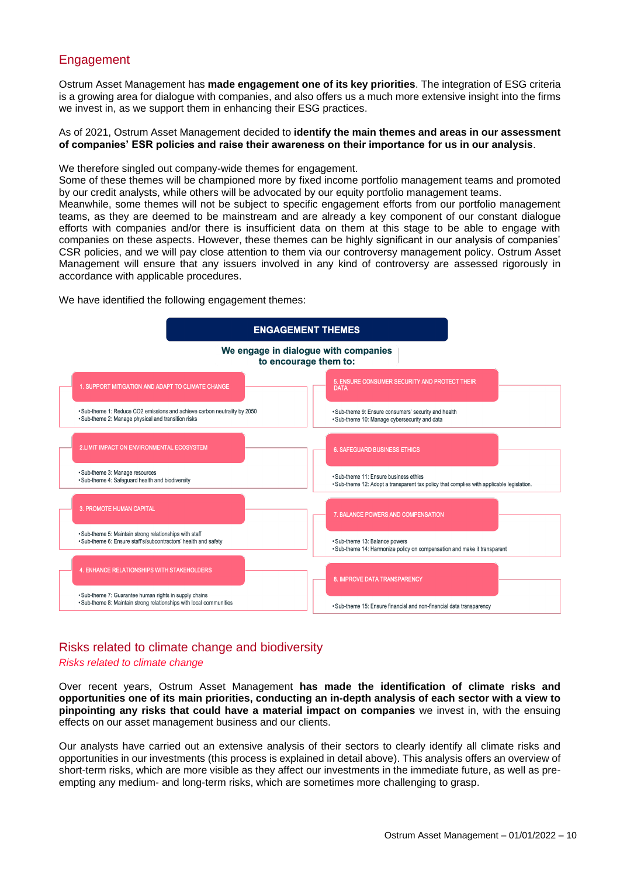#### Engagement

Ostrum Asset Management has **made engagement one of its key priorities**. The integration of ESG criteria is a growing area for dialogue with companies, and also offers us a much more extensive insight into the firms we invest in, as we support them in enhancing their ESG practices.

#### As of 2021, Ostrum Asset Management decided to **identify the main themes and areas in our assessment of companies' ESR policies and raise their awareness on their importance for us in our analysis**.

We therefore singled out company-wide themes for engagement.

Some of these themes will be championed more by fixed income portfolio management teams and promoted by our credit analysts, while others will be advocated by our equity portfolio management teams.

Meanwhile, some themes will not be subject to specific engagement efforts from our portfolio management teams, as they are deemed to be mainstream and are already a key component of our constant dialogue efforts with companies and/or there is insufficient data on them at this stage to be able to engage with companies on these aspects. However, these themes can be highly significant in our analysis of companies' CSR policies, and we will pay close attention to them via our controversy management policy. Ostrum Asset Management will ensure that any issuers involved in any kind of controversy are assessed rigorously in accordance with applicable procedures.

We have identified the following engagement themes:



### Risks related to climate change and biodiversity

#### *Risks related to climate change*

Over recent years, Ostrum Asset Management **has made the identification of climate risks and opportunities one of its main priorities, conducting an in-depth analysis of each sector with a view to pinpointing any risks that could have a material impact on companies** we invest in, with the ensuing effects on our asset management business and our clients.

Our analysts have carried out an extensive analysis of their sectors to clearly identify all climate risks and opportunities in our investments (this process is explained in detail above). This analysis offers an overview of short-term risks, which are more visible as they affect our investments in the immediate future, as well as preempting any medium- and long-term risks, which are sometimes more challenging to grasp.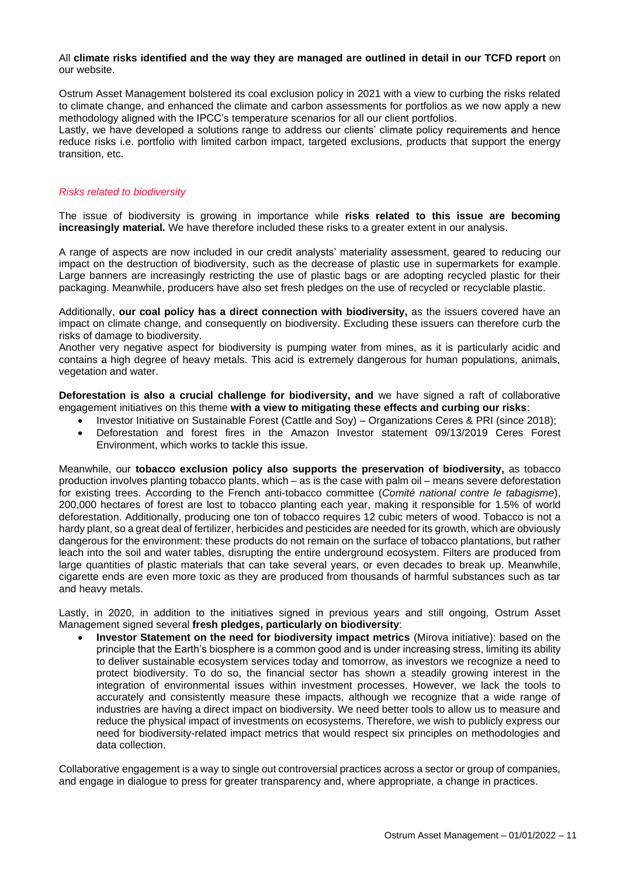#### All **climate risks identified and the way they are managed are outlined in detail in our TCFD report** on our website.

Ostrum Asset Management bolstered its coal exclusion policy in 2021 with a view to curbing the risks related to climate change, and enhanced the climate and carbon assessments for portfolios as we now apply a new methodology aligned with the IPCC's temperature scenarios for all our client portfolios.

Lastly, we have developed a solutions range to address our clients' climate policy requirements and hence reduce risks i.e. portfolio with limited carbon impact, targeted exclusions, products that support the energy transition, etc.

#### *Risks related to biodiversity*

The issue of biodiversity is growing in importance while **risks related to this issue are becoming increasingly material.** We have therefore included these risks to a greater extent in our analysis.

A range of aspects are now included in our credit analysts' materiality assessment, geared to reducing our impact on the destruction of biodiversity, such as the decrease of plastic use in supermarkets for example. Large banners are increasingly restricting the use of plastic bags or are adopting recycled plastic for their packaging. Meanwhile, producers have also set fresh pledges on the use of recycled or recyclable plastic.

Additionally, **our coal policy has a direct connection with biodiversity,** as the issuers covered have an impact on climate change, and consequently on biodiversity. Excluding these issuers can therefore curb the risks of damage to biodiversity.

Another very negative aspect for biodiversity is pumping water from mines, as it is particularly acidic and contains a high degree of heavy metals. This acid is extremely dangerous for human populations, animals, vegetation and water.

**Deforestation is also a crucial challenge for biodiversity, and** we have signed a raft of collaborative engagement initiatives on this theme **with a view to mitigating these effects and curbing our risks**:

- Investor Initiative on Sustainable Forest (Cattle and Soy) Organizations Ceres & PRI (since 2018);
- Deforestation and forest fires in the Amazon Investor statement 09/13/2019 Ceres Forest Environment, which works to tackle this issue.

Meanwhile, our **tobacco exclusion policy also supports the preservation of biodiversity,** as tobacco production involves planting tobacco plants, which – as is the case with palm oil – means severe deforestation for existing trees. According to the French anti-tobacco committee (*Comité national contre le tabagisme*), 200,000 hectares of forest are lost to tobacco planting each year, making it responsible for 1.5% of world deforestation. Additionally, producing one ton of tobacco requires 12 cubic meters of wood. Tobacco is not a hardy plant, so a great deal of fertilizer, herbicides and pesticides are needed for its growth, which are obviously dangerous for the environment: these products do not remain on the surface of tobacco plantations, but rather leach into the soil and water tables, disrupting the entire underground ecosystem. Filters are produced from large quantities of plastic materials that can take several years, or even decades to break up. Meanwhile, cigarette ends are even more toxic as they are produced from thousands of harmful substances such as tar and heavy metals.

Lastly, in 2020, in addition to the initiatives signed in previous years and still ongoing, Ostrum Asset Management signed several **fresh pledges, particularly on biodiversity**:

• **Investor Statement on the need for biodiversity impact metrics** (Mirova initiative): based on the principle that the Earth's biosphere is a common good and is under increasing stress, limiting its ability to deliver sustainable ecosystem services today and tomorrow, as investors we recognize a need to protect biodiversity. To do so, the financial sector has shown a steadily growing interest in the integration of environmental issues within investment processes. However, we lack the tools to accurately and consistently measure these impacts, although we recognize that a wide range of industries are having a direct impact on biodiversity. We need better tools to allow us to measure and reduce the physical impact of investments on ecosystems. Therefore, we wish to publicly express our need for biodiversity-related impact metrics that would respect six principles on methodologies and data collection.

Collaborative engagement is a way to single out controversial practices across a sector or group of companies, and engage in dialogue to press for greater transparency and, where appropriate, a change in practices.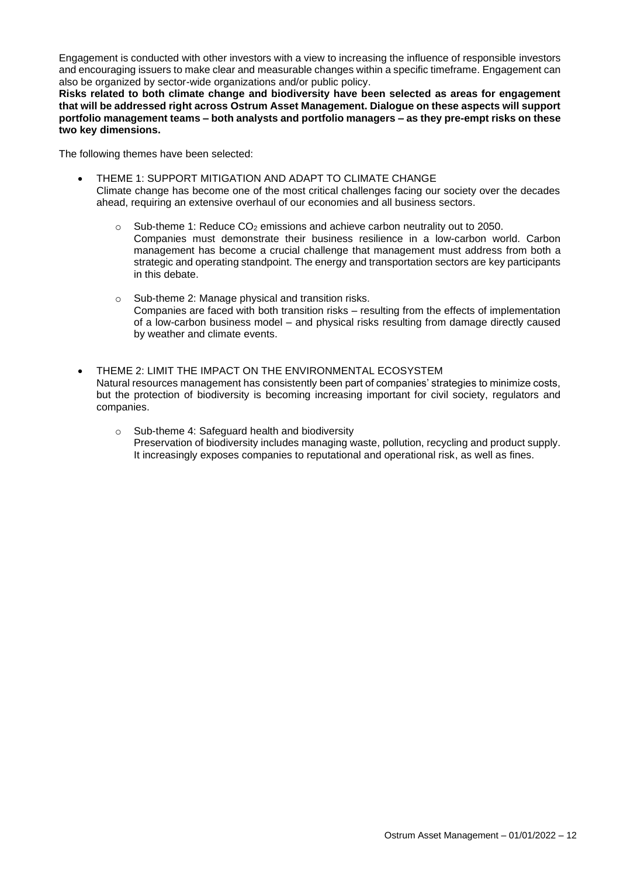Engagement is conducted with other investors with a view to increasing the influence of responsible investors and encouraging issuers to make clear and measurable changes within a specific timeframe. Engagement can also be organized by sector-wide organizations and/or public policy.

**Risks related to both climate change and biodiversity have been selected as areas for engagement that will be addressed right across Ostrum Asset Management. Dialogue on these aspects will support portfolio management teams – both analysts and portfolio managers – as they pre-empt risks on these two key dimensions.** 

The following themes have been selected:

- THEME 1: SUPPORT MITIGATION AND ADAPT TO CLIMATE CHANGE Climate change has become one of the most critical challenges facing our society over the decades ahead, requiring an extensive overhaul of our economies and all business sectors.
	- $\circ$  Sub-theme 1: Reduce CO<sub>2</sub> emissions and achieve carbon neutrality out to 2050. Companies must demonstrate their business resilience in a low-carbon world. Carbon management has become a crucial challenge that management must address from both a strategic and operating standpoint. The energy and transportation sectors are key participants in this debate.
	- o Sub-theme 2: Manage physical and transition risks. Companies are faced with both transition risks – resulting from the effects of implementation of a low-carbon business model – and physical risks resulting from damage directly caused by weather and climate events.
- THEME 2: LIMIT THE IMPACT ON THE ENVIRONMENTAL ECOSYSTEM Natural resources management has consistently been part of companies' strategies to minimize costs, but the protection of biodiversity is becoming increasing important for civil society, regulators and companies.
	- o Sub-theme 4: Safeguard health and biodiversity Preservation of biodiversity includes managing waste, pollution, recycling and product supply. It increasingly exposes companies to reputational and operational risk, as well as fines.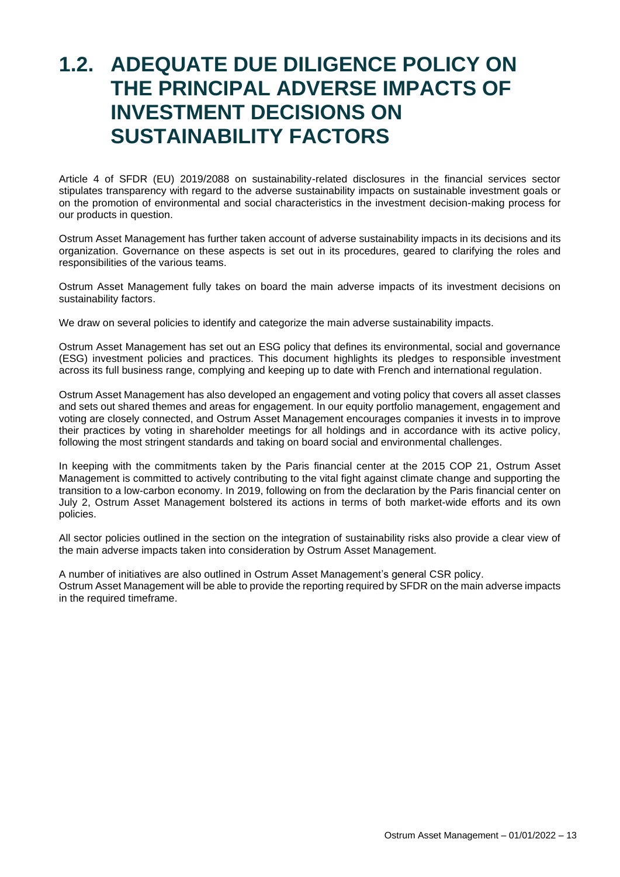## <span id="page-12-0"></span>**1.2. ADEQUATE DUE DILIGENCE POLICY ON THE PRINCIPAL ADVERSE IMPACTS OF INVESTMENT DECISIONS ON SUSTAINABILITY FACTORS**

Article 4 of SFDR (EU) 2019/2088 on sustainability-related disclosures in the financial services sector stipulates transparency with regard to the adverse sustainability impacts on sustainable investment goals or on the promotion of environmental and social characteristics in the investment decision-making process for our products in question.

Ostrum Asset Management has further taken account of adverse sustainability impacts in its decisions and its organization. Governance on these aspects is set out in its procedures, geared to clarifying the roles and responsibilities of the various teams.

Ostrum Asset Management fully takes on board the main adverse impacts of its investment decisions on sustainability factors.

We draw on several policies to identify and categorize the main adverse sustainability impacts.

Ostrum Asset Management has set out an ESG policy that defines its environmental, social and governance (ESG) investment policies and practices. This document highlights its pledges to responsible investment across its full business range, complying and keeping up to date with French and international regulation.

Ostrum Asset Management has also developed an engagement and voting policy that covers all asset classes and sets out shared themes and areas for engagement. In our equity portfolio management, engagement and voting are closely connected, and Ostrum Asset Management encourages companies it invests in to improve their practices by voting in shareholder meetings for all holdings and in accordance with its active policy, following the most stringent standards and taking on board social and environmental challenges.

In keeping with the commitments taken by the Paris financial center at the 2015 COP 21, Ostrum Asset Management is committed to actively contributing to the vital fight against climate change and supporting the transition to a low-carbon economy. In 2019, following on from the declaration by the Paris financial center on July 2, Ostrum Asset Management bolstered its actions in terms of both market-wide efforts and its own policies.

All sector policies outlined in the section on the integration of sustainability risks also provide a clear view of the main adverse impacts taken into consideration by Ostrum Asset Management.

A number of initiatives are also outlined in Ostrum Asset Management's general CSR policy. Ostrum Asset Management will be able to provide the reporting required by SFDR on the main adverse impacts in the required timeframe.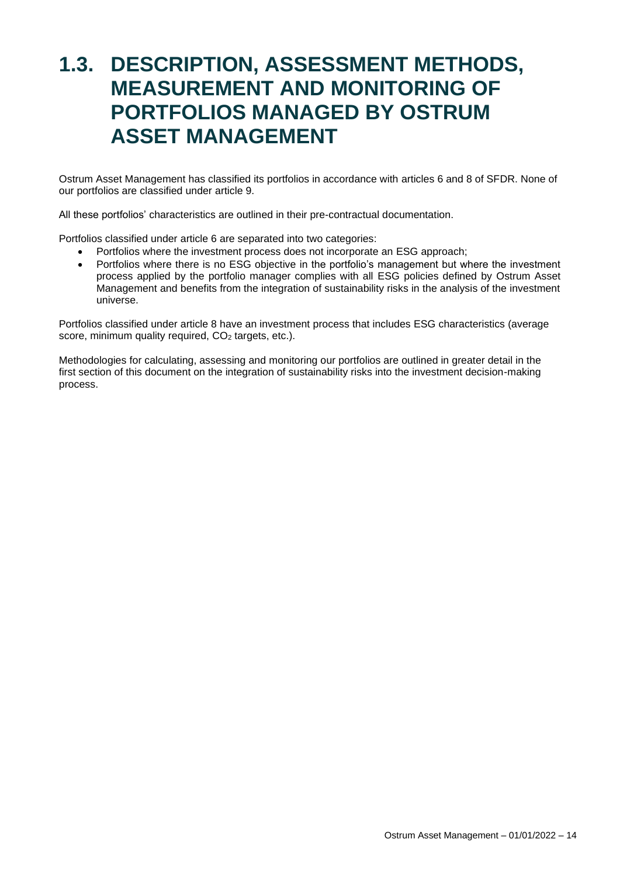## <span id="page-13-0"></span>**1.3. DESCRIPTION, ASSESSMENT METHODS, MEASUREMENT AND MONITORING OF PORTFOLIOS MANAGED BY OSTRUM ASSET MANAGEMENT**

Ostrum Asset Management has classified its portfolios in accordance with articles 6 and 8 of SFDR. None of our portfolios are classified under article 9.

All these portfolios' characteristics are outlined in their pre-contractual documentation.

Portfolios classified under article 6 are separated into two categories:

- Portfolios where the investment process does not incorporate an ESG approach;
- Portfolios where there is no ESG objective in the portfolio's management but where the investment process applied by the portfolio manager complies with all ESG policies defined by Ostrum Asset Management and benefits from the integration of sustainability risks in the analysis of the investment universe.

Portfolios classified under article 8 have an investment process that includes ESG characteristics (average score, minimum quality required, CO<sub>2</sub> targets, etc.).

Methodologies for calculating, assessing and monitoring our portfolios are outlined in greater detail in the first section of this document on the integration of sustainability risks into the investment decision-making process.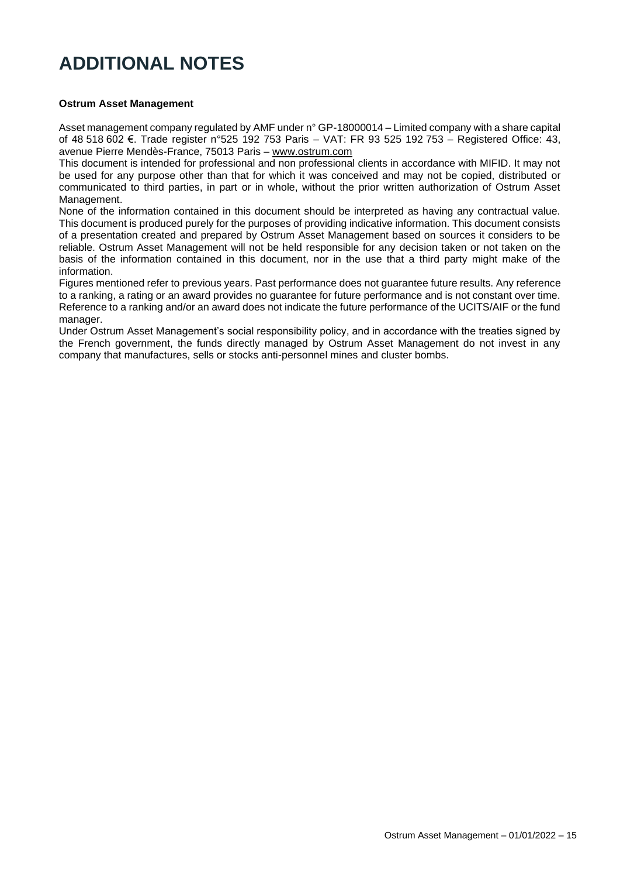### **ADDITIONAL NOTES**

#### **Ostrum Asset Management**

Asset management company regulated by AMF under n° GP-18000014 – Limited company with a share capital of 48 518 602 €. Trade register n°525 192 753 Paris – VAT: FR 93 525 192 753 – Registered Office: 43, avenue Pierre Mendès-France, 75013 Paris – [www.ostrum.com](http://www.ostrum.com/)

This document is intended for professional and non professional clients in accordance with MIFID. It may not be used for any purpose other than that for which it was conceived and may not be copied, distributed or communicated to third parties, in part or in whole, without the prior written authorization of Ostrum Asset Management.

None of the information contained in this document should be interpreted as having any contractual value. This document is produced purely for the purposes of providing indicative information. This document consists of a presentation created and prepared by Ostrum Asset Management based on sources it considers to be reliable. Ostrum Asset Management will not be held responsible for any decision taken or not taken on the basis of the information contained in this document, nor in the use that a third party might make of the information.

Figures mentioned refer to previous years. Past performance does not guarantee future results. Any reference to a ranking, a rating or an award provides no guarantee for future performance and is not constant over time. Reference to a ranking and/or an award does not indicate the future performance of the UCITS/AIF or the fund manager.

Under Ostrum Asset Management's social responsibility policy, and in accordance with the treaties signed by the French government, the funds directly managed by Ostrum Asset Management do not invest in any company that manufactures, sells or stocks anti-personnel mines and cluster bombs.